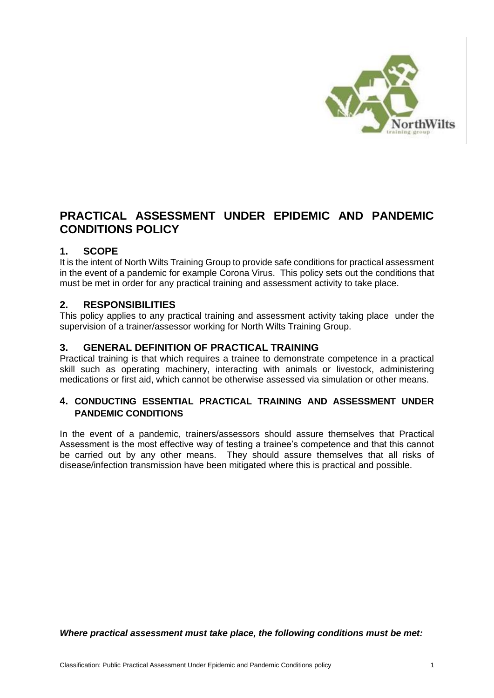

# **PRACTICAL ASSESSMENT UNDER EPIDEMIC AND PANDEMIC CONDITIONS POLICY**

## **1. SCOPE**

It is the intent of North Wilts Training Group to provide safe conditions for practical assessment in the event of a pandemic for example Corona Virus. This policy sets out the conditions that must be met in order for any practical training and assessment activity to take place.

## **2. RESPONSIBILITIES**

This policy applies to any practical training and assessment activity taking place under the supervision of a trainer/assessor working for North Wilts Training Group.

#### **3. GENERAL DEFINITION OF PRACTICAL TRAINING**

Practical training is that which requires a trainee to demonstrate competence in a practical skill such as operating machinery, interacting with animals or livestock, administering medications or first aid, which cannot be otherwise assessed via simulation or other means.

## **4. CONDUCTING ESSENTIAL PRACTICAL TRAINING AND ASSESSMENT UNDER PANDEMIC CONDITIONS**

In the event of a pandemic, trainers/assessors should assure themselves that Practical Assessment is the most effective way of testing a trainee's competence and that this cannot be carried out by any other means. They should assure themselves that all risks of disease/infection transmission have been mitigated where this is practical and possible.

*Where practical assessment must take place, the following conditions must be met:*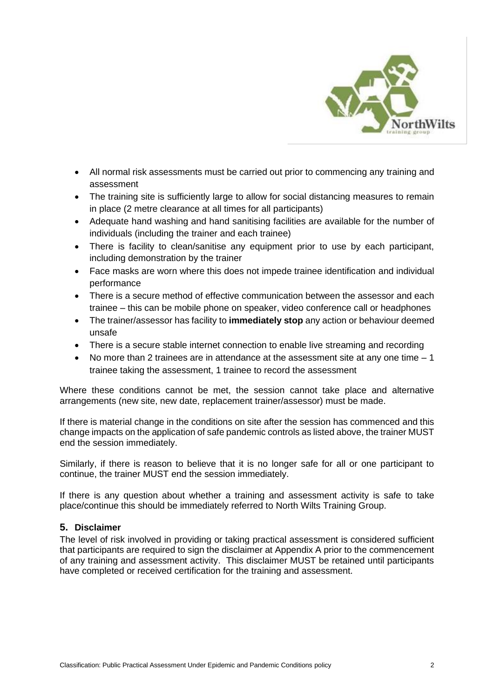

- All normal risk assessments must be carried out prior to commencing any training and assessment
- The training site is sufficiently large to allow for social distancing measures to remain in place (2 metre clearance at all times for all participants)
- Adequate hand washing and hand sanitising facilities are available for the number of individuals (including the trainer and each trainee)
- There is facility to clean/sanitise any equipment prior to use by each participant, including demonstration by the trainer
- Face masks are worn where this does not impede trainee identification and individual performance
- There is a secure method of effective communication between the assessor and each trainee – this can be mobile phone on speaker, video conference call or headphones
- The trainer/assessor has facility to **immediately stop** any action or behaviour deemed unsafe
- There is a secure stable internet connection to enable live streaming and recording
- No more than 2 trainees are in attendance at the assessment site at any one time  $-1$ trainee taking the assessment, 1 trainee to record the assessment

Where these conditions cannot be met, the session cannot take place and alternative arrangements (new site, new date, replacement trainer/assessor) must be made.

If there is material change in the conditions on site after the session has commenced and this change impacts on the application of safe pandemic controls as listed above, the trainer MUST end the session immediately.

Similarly, if there is reason to believe that it is no longer safe for all or one participant to continue, the trainer MUST end the session immediately.

If there is any question about whether a training and assessment activity is safe to take place/continue this should be immediately referred to North Wilts Training Group.

#### **5. Disclaimer**

The level of risk involved in providing or taking practical assessment is considered sufficient that participants are required to sign the disclaimer at Appendix A prior to the commencement of any training and assessment activity. This disclaimer MUST be retained until participants have completed or received certification for the training and assessment.